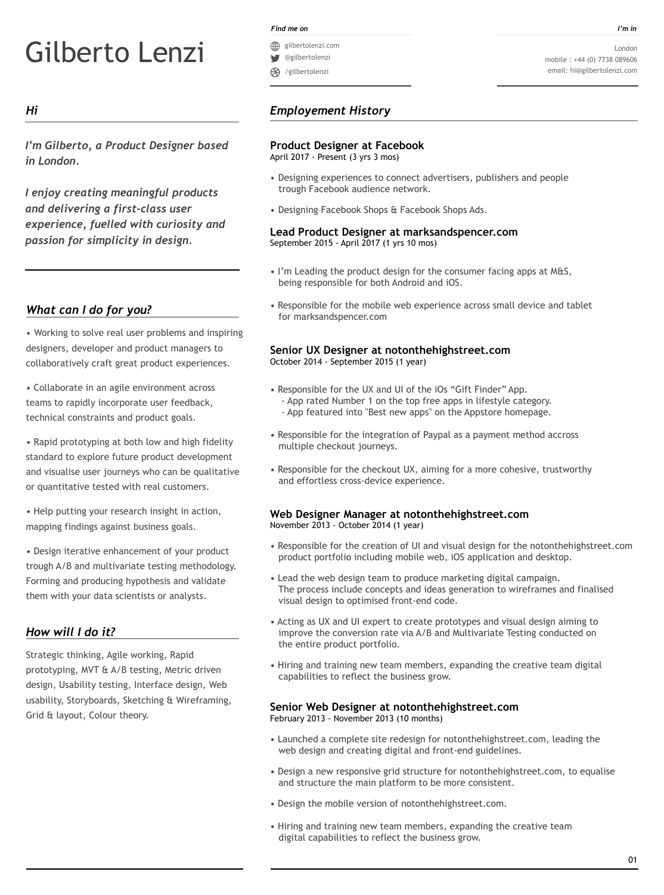# Gilberto Lenzi

# *Hi*

*I'm Gilberto, a Product Designer based in London.*

*I enjoy creating meaningful products and delivering a first-class user experience, fuelled with curiosity and passion for simplicity in design.*

# *Employement History*

#### *Find me on I'm in*

# *What can I do for you?*

• Working to solve real user problems and inspiring designers, developer and product managers to collaboratively craft great product experiences.

• Collaborate in an agile environment across teams to rapidly incorporate user feedback, technical constraints and product goals.

*•* Rapid prototyping at both low and high fidelity standard to explore future product development and visualise user journeys who can be qualitative or quantitative tested with real customers.

*•* Help putting your research insight in action, mapping findings against business goals.

*•* Design iterative enhancement of your product trough A/B and multivariate testing methodology. Forming and producing hypothesis and validate them with your data scientists or analysts.

# **Product Designer at Facebook**

April 2017 - Present (3 yrs 3 mos)

- Designing experiences to connect advertisers, publishers and people trough Facebook audience network.
- Designing Facebook Shops & Facebook Shops Ads.

#### **Lead Product Designer at marksandspencer.com** September 2015 - April 2017 (1 yrs 10 mos)

- I'm Leading the product design for the consumer facing apps at M&S, being responsible for both Android and iOS.
- Responsible for the mobile web experience across small device and tablet for marksandspencer.com

#### **Senior UX Designer at notonthehighstreet.com** October 2014 - September 2015 (1 year)

- Responsible for the UX and UI of the iOs "Gift Finder" App.
	- App rated Number 1 on the top free apps in lifestyle category. - App featured into "Best new apps" on the Appstore homepage.
- Responsible for the integration of Paypal as a payment method accross multiple checkout journeys.
- Responsible for the checkout UX, aiming for a more cohesive, trustworthy and effortless cross-device experience.

# **Web Designer Manager at notonthehighstreet.com**

November 2013 - October 2014 (1 year)

- Responsible for the creation of UI and visual design for the notonthehighstreet.com product portfolio including mobile web, iOS application and desktop.
- Lead the web design team to produce marketing digital campaign. The process include concepts and ideas generation to wireframes and finalised visual design to optimised front-end code.
- Acting as UX and UI expert to create prototypes and visual design aiming to improve the conversion rate via A/B and Multivariate Testing conducted on the entire product portfolio.
- Hiring and training new team members, expanding the creative team digital capabilities to reflect the business grow.

#### **Senior Web Designer at notonthehighstreet.com** February 2013 - November 2013 (10 months)

- Launched a complete site redesign for notonthehighstreet.com, leading the web design and creating digital and front-end guidelines.
- Design a new responsive grid structure for notonthehighstreet.com, to equalise and structure the main platform to be more consistent.

• Design the mobile version of notonthehighstreet.com.

• Hiring and training new team members, expanding the creative team digital capabilities to reflect the business grow.

- gilbertolenzi.com
- @gilbertolenzi
- /gilbertolenzi

# *How will I do it?*

Strategic thinking, Agile working, Rapid prototyping, MVT & A/B testing, Metric driven design, Usability testing, Interface design, Web usability, Storyboards, Sketching & Wireframing,

#### Grid & layout, Colour theory.